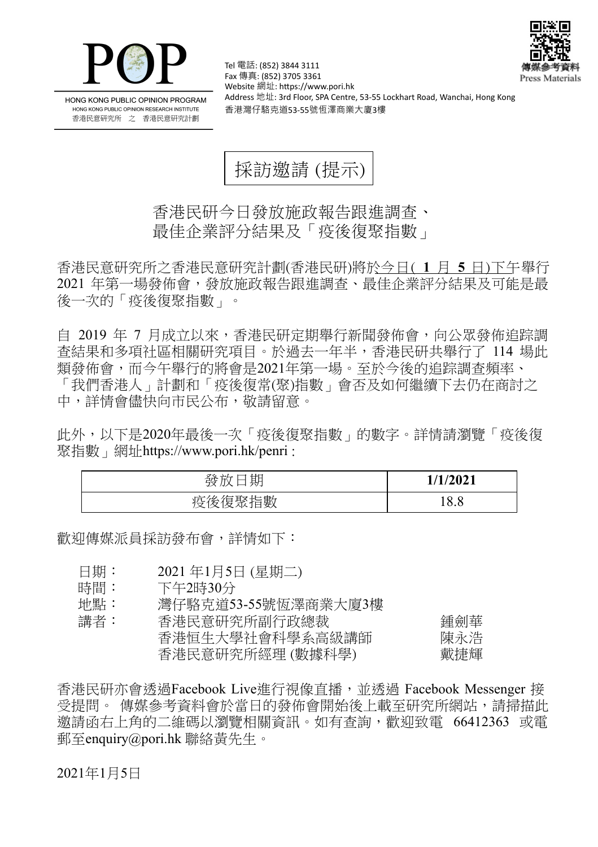



HONG KONG PUBLIC OPINION PROGRAM HONG KONG PUBLIC OPINION RESEARCH INSTITUTE 香港民意研究所 之 香港民意研究計劃

Tel 電話: (852) 3844 3111 Fax 傳真: (852) 3705 3361 Website 網址: https://www.pori.hk Address 地址: 3rd Floor, SPA Centre, 53-55 Lockhart Road, Wanchai, Hong Kong 香港灣仔駱克道53-55號恆澤商業大廈3樓

採訪邀請 (提示)

香港民研今日發放施政報告跟進調查、 最佳企業評分結果及「疫後復聚指數」

香港民意研究所之香港民意研究計劃(香港民研)將於今日( **1** 月 **5** 日)下午舉行 2021 年第一場發佈會,發放施政報告跟進調查、最佳企業評分結果及可能是最 後一次的「疫後復聚指數」。

自 2019 年 7 月成立以來,香港民研定期舉行新聞發佈會,向公眾發佈追踪調 查結果和多項社區相關研究項目。於過去一年半,香港民研共舉行了 114 場此 類發佈會,而今午舉行的將會是2021年第一場。至於今後的追踪調查頻率、 「我們香港人」計劃和「疫後復常(聚)指數」會否及如何繼續下去仍在商討之 中,詳情會儘快向市民公布,敬請留意。

此外,以下是2020年最後一次「疫後復聚指數」的數字。詳情請瀏覽「疫後復 聚指數」網址<https://www.pori.hk/penri> :

| 期<br>發            | 1/1/2021 |
|-------------------|----------|
| 復聚指數<br>l⇔ 1<br>≲ | 18.8     |

歡迎傳媒派員採訪發布會,詳情如下:

- 日期: 2021 年1月5日 (星期二)
- 時間: 下午2時30分

地點: 灣仔駱克道53-55號恆澤商業大廈3樓

講者: 香港民意研究所副行政總裁 2000年 - 鍾劍華 香港恒生大學社會科學系高級講師 陳永浩 香港民意研究所經理 (數據科學) 戴捷輝

香港民研亦會透過Facebook Live進行視像直播,並透過 Facebook Messenger 接 受提問。 傳媒參考資料會於當日的發佈會開始後上載至研究所網站,請掃描此 邀請函右上角的二維碼以瀏覽相關資訊。如有查詢,歡迎致電 66412363 或電 郵至enquiry@pori.hk 聯絡黃先生。

2021年1月5日